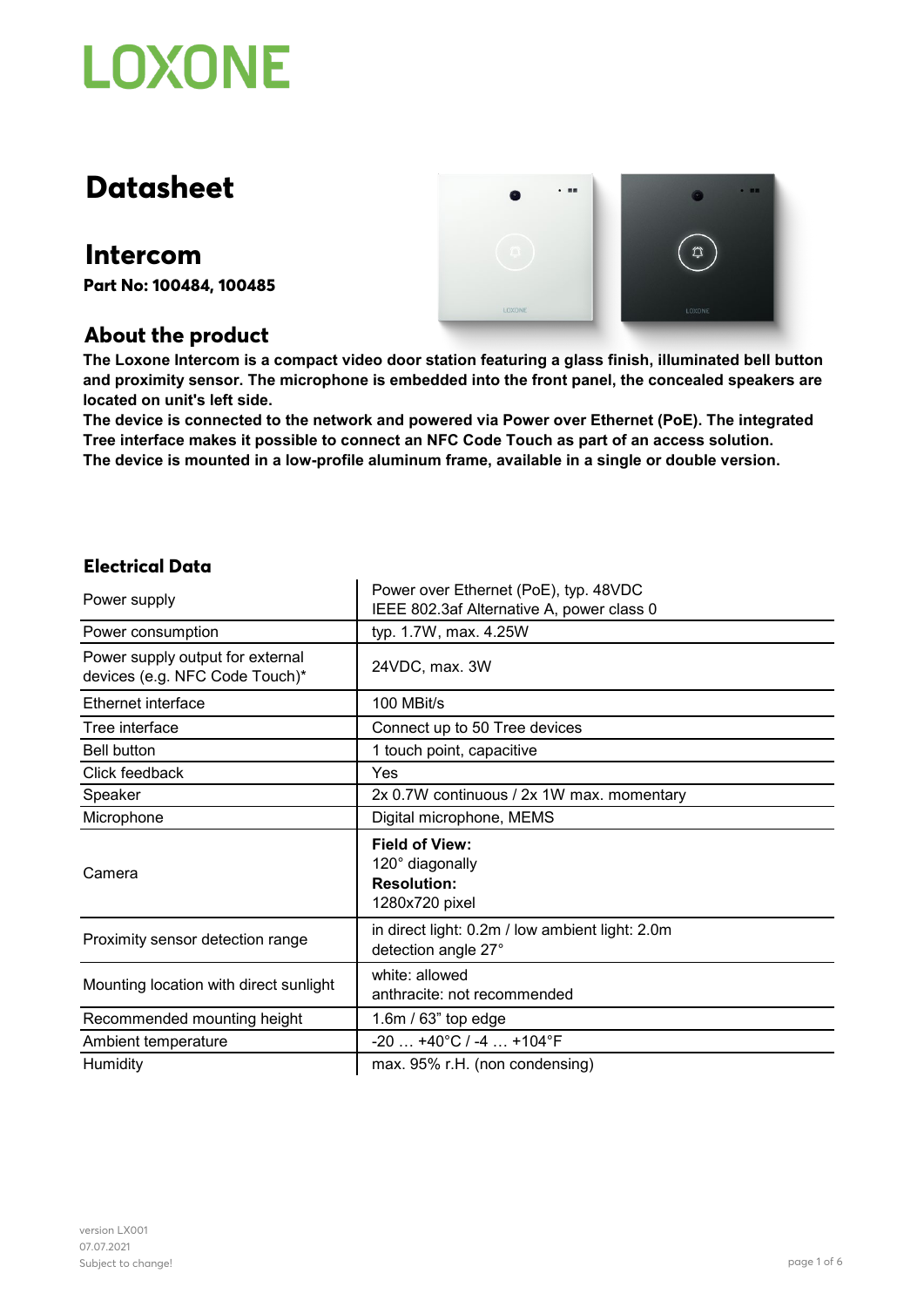## **Datasheet**

### **Intercom**

**Part No: 100484, 100485**

### **About the product**



**The Loxone Intercom is a compact video door station featuring a glass finish, illuminated bell button and proximity sensor. The microphone is embedded into the front panel, the concealed speakers are located on unit's left side.**

**The device is connected to the network and powered via Power over Ethernet (PoE). The integrated Tree interface makes it possible to connect an NFC Code Touch as part of an access solution. The device is mounted in a low-profile aluminum frame, available in a single or double version.**

### **Electrical Data**

| Power supply                                                       | Power over Ethernet (PoE), typ. 48VDC<br>IEEE 802.3af Alternative A, power class 0 |
|--------------------------------------------------------------------|------------------------------------------------------------------------------------|
| Power consumption                                                  | typ. 1.7W, max. 4.25W                                                              |
| Power supply output for external<br>devices (e.g. NFC Code Touch)* | 24VDC, max. 3W                                                                     |
| Ethernet interface                                                 | 100 MBit/s                                                                         |
| Tree interface                                                     | Connect up to 50 Tree devices                                                      |
| <b>Bell button</b>                                                 | 1 touch point, capacitive                                                          |
| Click feedback                                                     | Yes                                                                                |
| Speaker                                                            | 2x 0.7W continuous / 2x 1W max. momentary                                          |
| Microphone                                                         | Digital microphone, MEMS                                                           |
| Camera                                                             | <b>Field of View:</b><br>120° diagonally<br><b>Resolution:</b><br>1280x720 pixel   |
| Proximity sensor detection range                                   | in direct light: 0.2m / low ambient light: 2.0m<br>detection angle 27°             |
| Mounting location with direct sunlight                             | white: allowed<br>anthracite: not recommended                                      |
| Recommended mounting height                                        | $1.6m / 63$ " top edge                                                             |
| Ambient temperature                                                | $-20$ $+40^{\circ}$ C / $-4$ $+104^{\circ}$ F                                      |
| Humidity                                                           | max. 95% r.H. (non condensing)                                                     |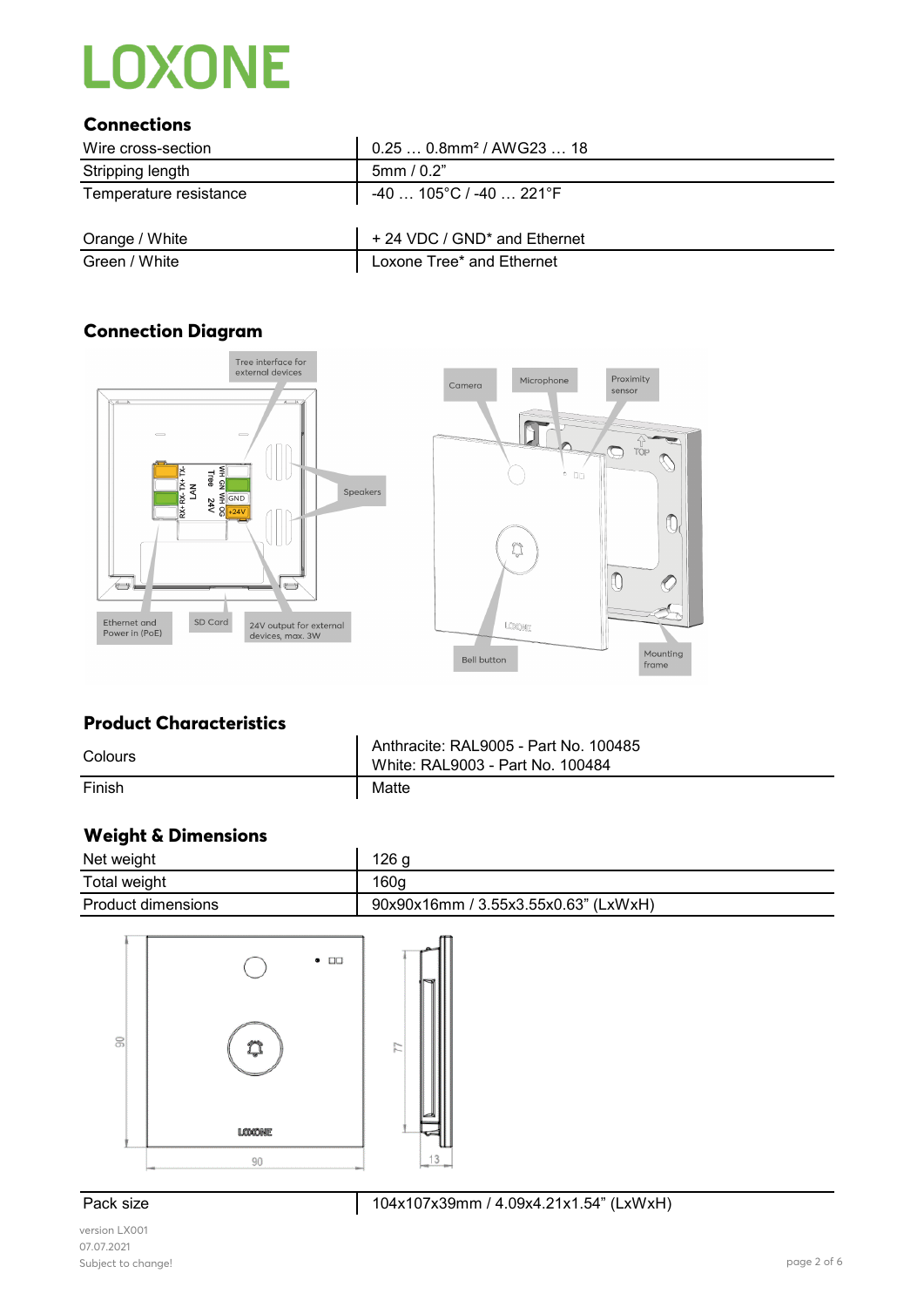### **Connections**

| Wire cross-section     | $0.250.8$ mm <sup>2</sup> / AWG23  18    |
|------------------------|------------------------------------------|
| Stripping length       | 5mm/0.2"                                 |
| Temperature resistance | $-40$ 105°C / -40  221°F                 |
| Orange / White         | + 24 VDC / GND <sup>*</sup> and Ethernet |
| Green / White          | Loxone Tree* and Ethernet                |

### **Connection Diagram**





### **Product Characteristics**

| Colours | Anthracite: RAL9005 - Part No. 100485<br>White: RAL9003 - Part No. 100484 |
|---------|---------------------------------------------------------------------------|
| Finish  | Matte                                                                     |

### **Weight & Dimensions**

| Net weight                | 126 <sub>g</sub>                     |
|---------------------------|--------------------------------------|
| Total weight              | 160 <sub>g</sub>                     |
| <b>Product dimensions</b> | 90x90x16mm / 3.55x3.55x0.63" (LxWxH) |



version LX001 07.07.2021 Subject to change! page 2 of 6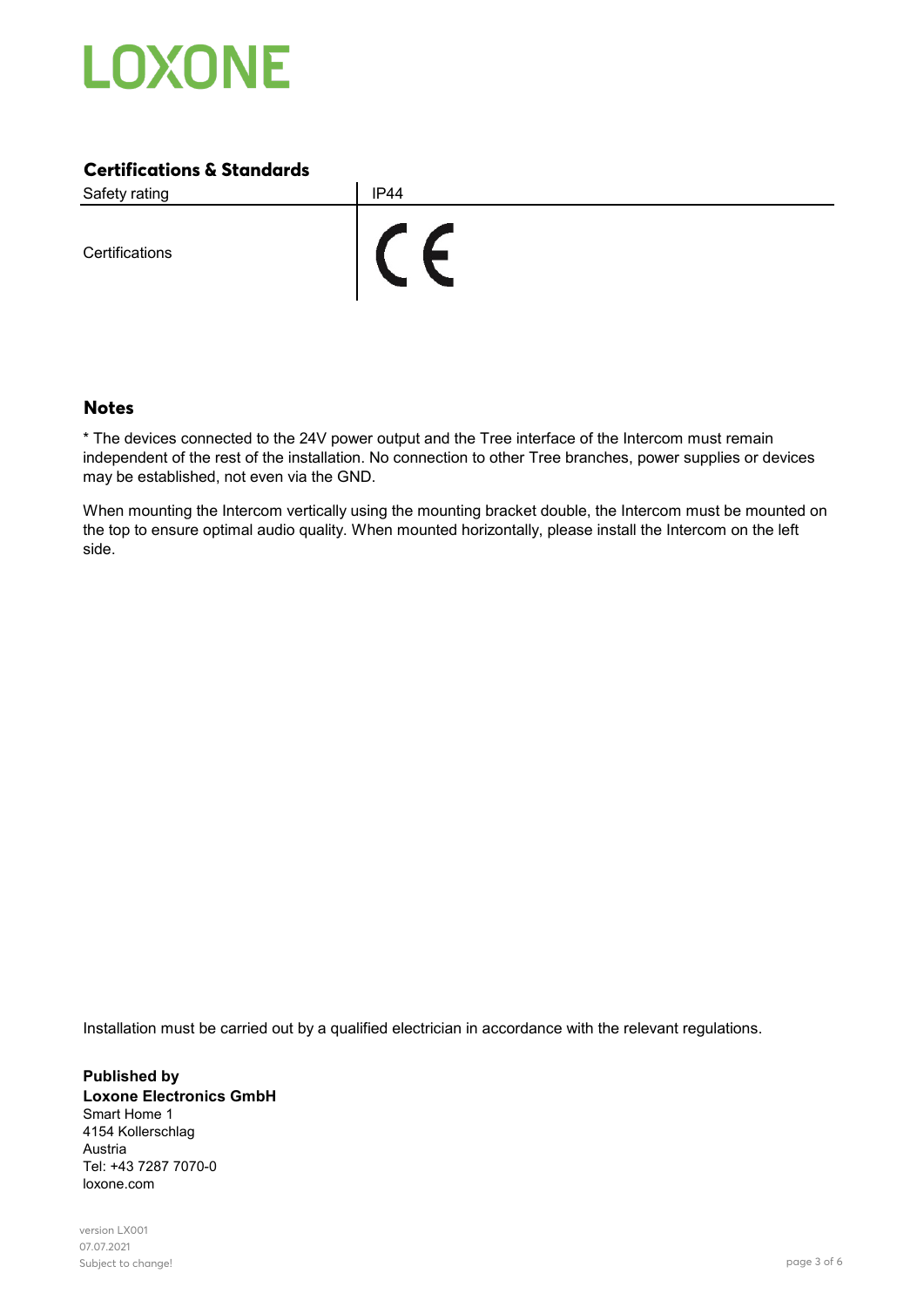

### **Certifications & Standards**

Safety rating **IP44**  $\epsilon$ **Certifications** 

### **Notes**

\* The devices connected to the 24V power output and the Tree interface of the Intercom must remain independent of the rest of the installation. No connection to other Tree branches, power supplies or devices may be established, not even via the GND.

When mounting the Intercom vertically using the mounting bracket double, the Intercom must be mounted on the top to ensure optimal audio quality. When mounted horizontally, please install the Intercom on the left side.

Installation must be carried out by a qualified electrician in accordance with the relevant regulations.

**Published by Loxone Electronics GmbH** Smart Home 1 4154 Kollerschlag Austria Tel: +43 7287 7070-0 loxone.com

version LX001 07.07.2021 Subject to change! page 3 of 6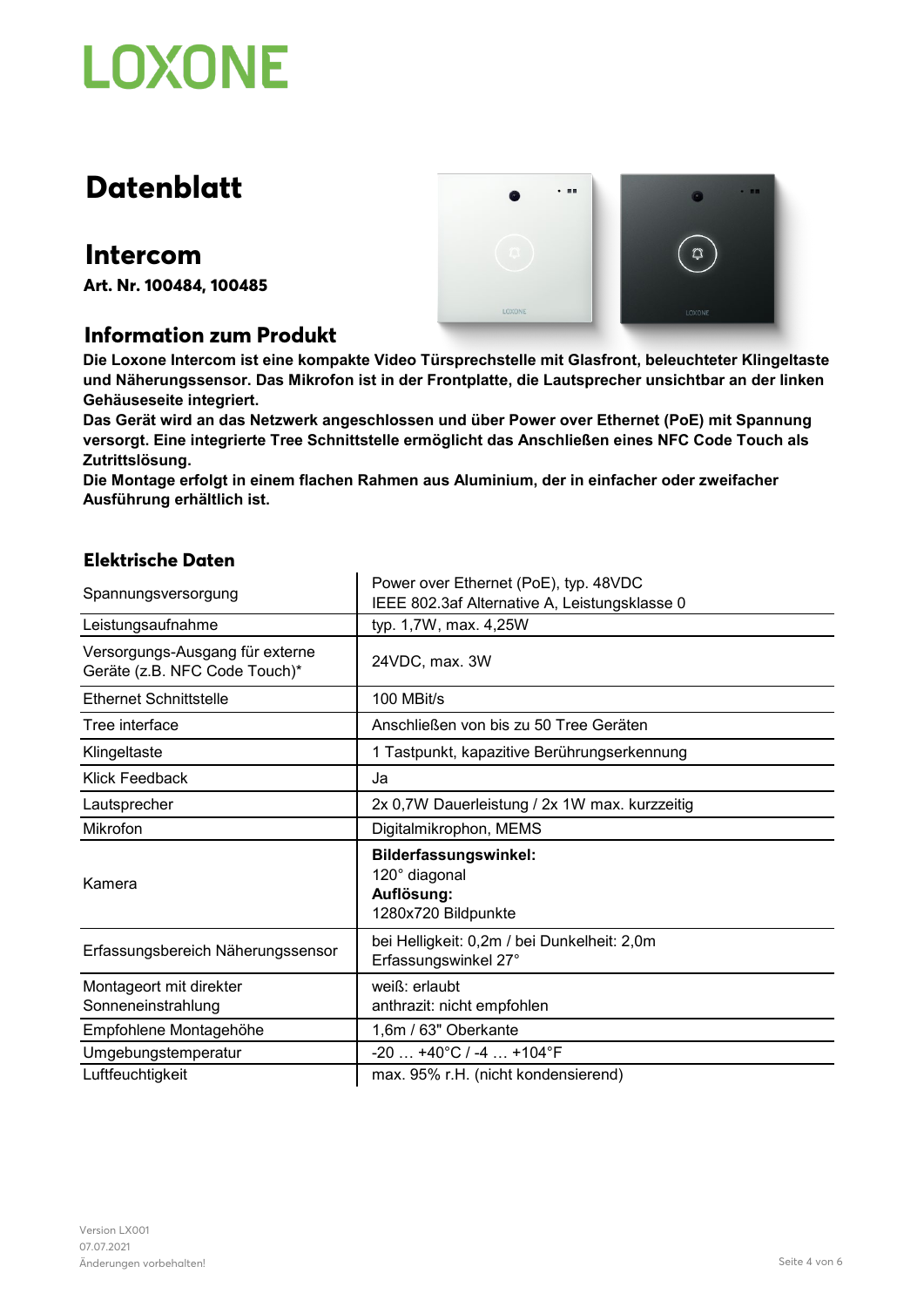## **Datenblatt**

### **Intercom**

**Art. Nr. 100484, 100485**

### **Information zum Produkt**



**Die Loxone Intercom ist eine kompakte Video Türsprechstelle mit Glasfront, beleuchteter Klingeltaste und Näherungssensor. Das Mikrofon ist in der Frontplatte, die Lautsprecher unsichtbar an der linken Gehäuseseite integriert.**

**Das Gerät wird an das Netzwerk angeschlossen und über Power over Ethernet (PoE) mit Spannung versorgt. Eine integrierte Tree Schnittstelle ermöglicht das Anschließen eines NFC Code Touch als Zutrittslösung.**

**Die Montage erfolgt in einem flachen Rahmen aus Aluminium, der in einfacher oder zweifacher Ausführung erhältlich ist.**

### **Elektrische Daten**

| Spannungsversorgung                                              | Power over Ethernet (PoE), typ. 48VDC<br>IEEE 802.3af Alternative A, Leistungsklasse 0 |
|------------------------------------------------------------------|----------------------------------------------------------------------------------------|
| Leistungsaufnahme                                                | typ. 1,7W, max. 4,25W                                                                  |
| Versorgungs-Ausgang für externe<br>Geräte (z.B. NFC Code Touch)* | 24VDC, max. 3W                                                                         |
| <b>Ethernet Schnittstelle</b>                                    | 100 MBit/s                                                                             |
| Tree interface                                                   | Anschließen von bis zu 50 Tree Geräten                                                 |
| Klingeltaste                                                     | 1 Tastpunkt, kapazitive Berührungserkennung                                            |
| Klick Feedback                                                   | Ja                                                                                     |
| Lautsprecher                                                     | 2x 0,7W Dauerleistung / 2x 1W max. kurzzeitig                                          |
| Mikrofon                                                         | Digitalmikrophon, MEMS                                                                 |
| Kamera                                                           | Bilderfassungswinkel:<br>120° diagonal<br>Auflösung:<br>1280x720 Bildpunkte            |
| Erfassungsbereich Näherungssensor                                | bei Helligkeit: 0,2m / bei Dunkelheit: 2,0m<br>Erfassungswinkel 27°                    |
| Montageort mit direkter<br>Sonneneinstrahlung                    | weiß: erlaubt<br>anthrazit: nicht empfohlen                                            |
| Empfohlene Montagehöhe                                           | 1,6m / 63" Oberkante                                                                   |
| Umgebungstemperatur                                              | $-20$ $+40^{\circ}$ C / -4 $+104^{\circ}$ F                                            |
| Luftfeuchtigkeit                                                 | max. 95% r.H. (nicht kondensierend)                                                    |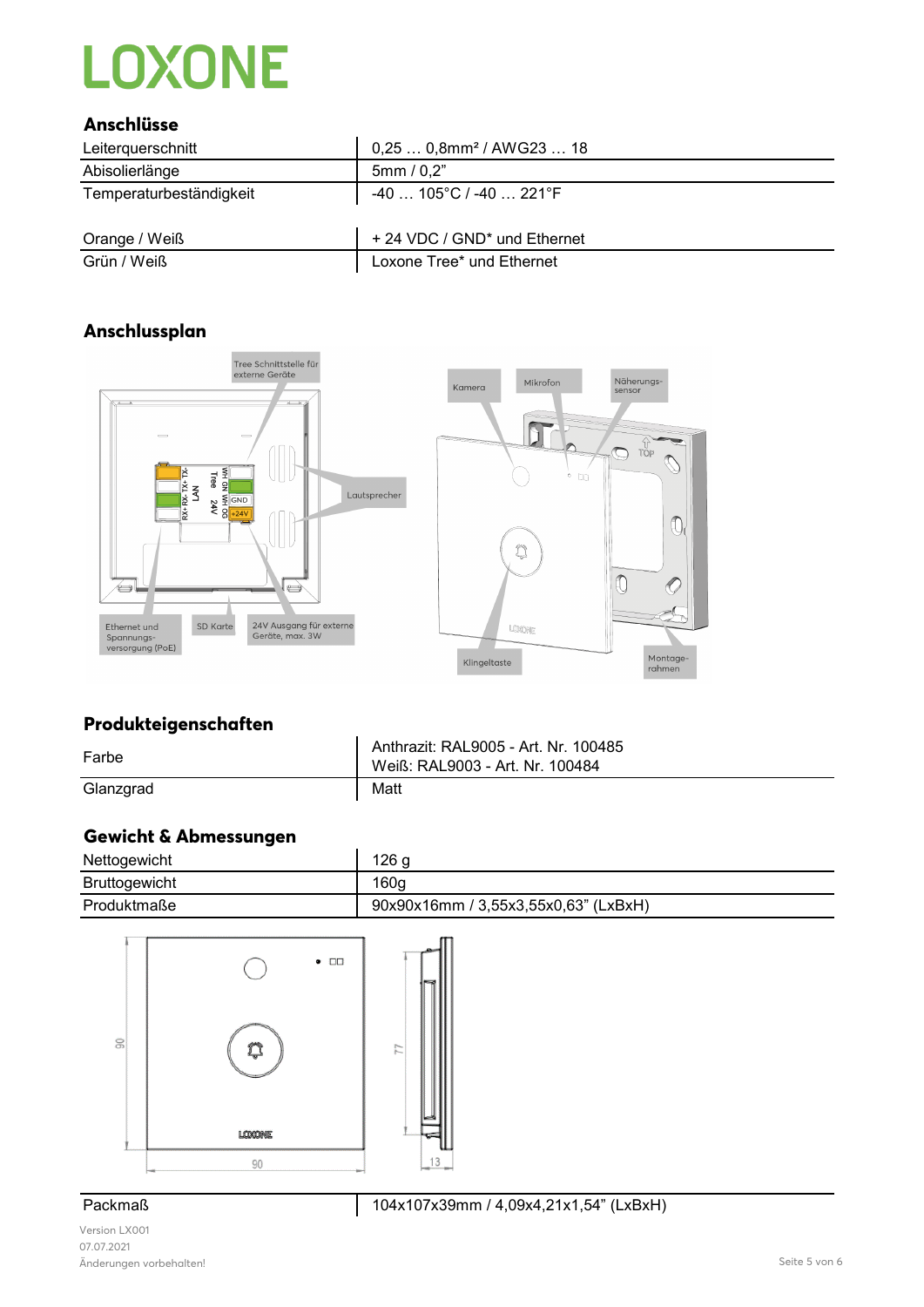### **Anschlüsse**

| Leiterauerschnitt       | $0,250,8$ mm <sup>2</sup> / AWG23  18    |
|-------------------------|------------------------------------------|
| Abisolierlänge          | 5mm/0,2"                                 |
| Temperaturbeständigkeit | -40 … 105°C / -40 … 221°F                |
| Orange / Weiß           | + 24 VDC / GND <sup>*</sup> und Ethernet |
| Grün / Weiß             | Loxone Tree* und Ethernet                |

### **Anschlussplan**





### **Produkteigenschaften**

| Farbe     | Anthrazit: RAL9005 - Art. Nr. 100485<br>Weiß: RAL9003 - Art. Nr. 100484 |
|-----------|-------------------------------------------------------------------------|
| Glanzgrad | Matt                                                                    |

### **Gewicht & Abmessungen**

| Nettogewicht         | 126 g                                |
|----------------------|--------------------------------------|
| <b>Bruttogewicht</b> | 160 <sub>g</sub>                     |
| Produktmaße          | 90x90x16mm / 3,55x3,55x0,63" (LxBxH) |



Version LX001 07.07.2021 Änderungen vorbehalten! Seite 5 von 6